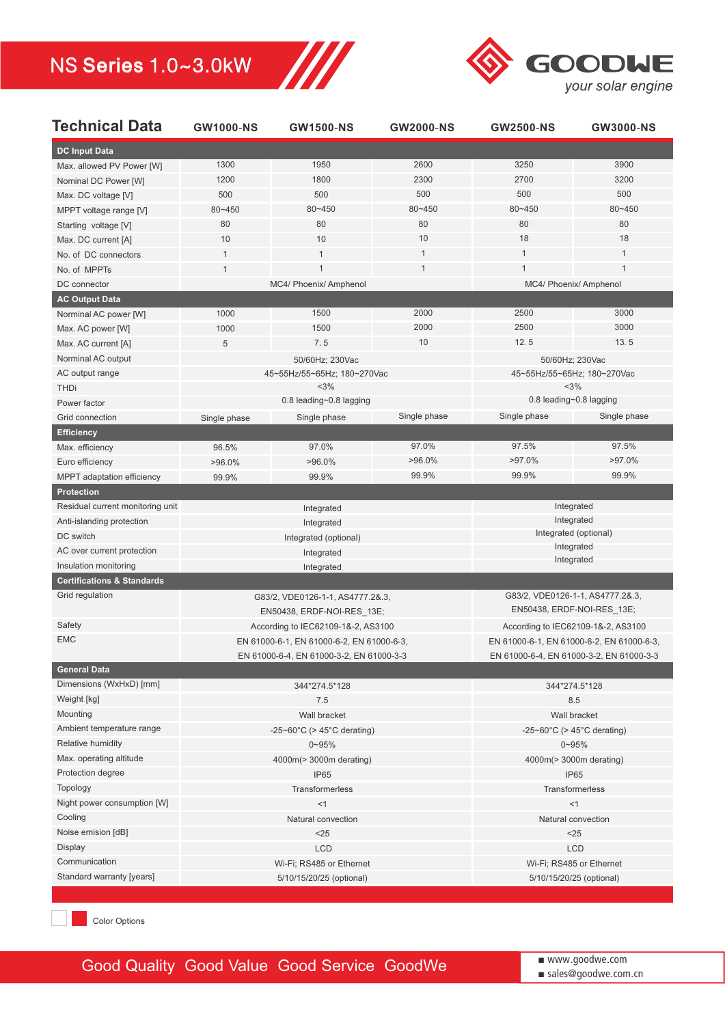

| <b>Technical Data</b>                 | <b>GW1000-NS</b>                                 | <b>GW1500-NS</b>                 | <b>GW2000-NS</b>                         | <b>GW2500-NS</b>                          | <b>GW3000-NS</b> |  |
|---------------------------------------|--------------------------------------------------|----------------------------------|------------------------------------------|-------------------------------------------|------------------|--|
| <b>DC Input Data</b>                  |                                                  |                                  |                                          |                                           |                  |  |
| Max. allowed PV Power [W]             | 1300                                             | 1950                             | 2600                                     | 3250                                      | 3900             |  |
| Nominal DC Power [W]                  | 1200                                             | 1800                             | 2300                                     | 2700                                      | 3200             |  |
| Max. DC voltage [V]                   | 500                                              | 500                              | 500                                      | 500                                       | 500              |  |
| MPPT voltage range [V]                | 80~450                                           | 80~450                           | 80~450                                   | 80~450                                    | 80~450           |  |
| Starting voltage [V]                  | 80                                               | 80                               | 80                                       | 80                                        | 80               |  |
| Max. DC current [A]                   | 10                                               | 10                               | 10                                       | 18                                        | 18               |  |
| No. of DC connectors                  | 1                                                | $\mathbf{1}$                     | $\mathbf{1}$                             | $\mathbf{1}$                              | 1                |  |
| No. of MPPTs                          | $\mathbf{1}$                                     | $\mathbf{1}$                     | $\mathbf{1}$                             | 1                                         | 1                |  |
| DC connector                          |                                                  | MC4/ Phoenix/ Amphenol           |                                          | MC4/ Phoenix/ Amphenol                    |                  |  |
| <b>AC Output Data</b>                 |                                                  |                                  |                                          |                                           |                  |  |
| Norminal AC power [W]                 | 1000                                             | 1500                             | 2000                                     | 2500                                      | 3000             |  |
| Max. AC power [W]                     | 1000                                             | 1500                             | 2000                                     | 2500                                      | 3000             |  |
| Max. AC current [A]                   | $\sqrt{5}$                                       | 7.5                              | 10                                       | 12.5                                      | 13.5             |  |
| Norminal AC output                    |                                                  | 50/60Hz; 230Vac                  |                                          | 50/60Hz; 230Vac                           |                  |  |
| AC output range                       |                                                  | 45~55Hz/55~65Hz; 180~270Vac      |                                          | 45~55Hz/55~65Hz; 180~270Vac               |                  |  |
| <b>THDi</b>                           |                                                  | <3%                              |                                          | <3%                                       |                  |  |
| Power factor                          |                                                  | 0.8 leading~0.8 lagging          |                                          | 0.8 leading~0.8 lagging                   |                  |  |
| Grid connection                       | Single phase                                     | Single phase                     | Single phase                             | Single phase                              | Single phase     |  |
| <b>Efficiency</b>                     |                                                  |                                  |                                          |                                           |                  |  |
| Max. efficiency                       | 96.5%                                            | 97.0%                            | 97.0%                                    | 97.5%                                     | 97.5%            |  |
| Euro efficiency                       | $>96.0\%$                                        | $>96.0\%$                        | $>96.0\%$                                | $>97.0\%$                                 | $>97.0\%$        |  |
| MPPT adaptation efficiency            | 99.9%                                            | 99.9%                            | 99.9%                                    | 99.9%                                     | 99.9%            |  |
| <b>Protection</b>                     |                                                  |                                  |                                          |                                           |                  |  |
| Residual current monitoring unit      |                                                  | Integrated                       |                                          | Integrated                                |                  |  |
| Anti-islanding protection             |                                                  | Integrated                       |                                          | Integrated                                |                  |  |
| DC switch                             | Integrated (optional)                            |                                  |                                          | Integrated (optional)                     |                  |  |
| AC over current protection            | Integrated                                       |                                  | Integrated                               |                                           |                  |  |
| Insulation monitoring                 |                                                  | Integrated                       |                                          |                                           | Integrated       |  |
| <b>Certifications &amp; Standards</b> |                                                  |                                  |                                          |                                           |                  |  |
| Grid regulation                       |                                                  | G83/2, VDE0126-1-1, AS4777.2&.3, |                                          | G83/2, VDE0126-1-1, AS4777.2&.3,          |                  |  |
|                                       | EN50438, ERDF-NOI-RES_13E;                       |                                  | EN50438, ERDF-NOI-RES_13E;               |                                           |                  |  |
| Safety                                | According to IEC62109-1&-2, AS3100               |                                  | According to IEC62109-1&-2, AS3100       |                                           |                  |  |
| <b>EMC</b>                            | EN 61000-6-1, EN 61000-6-2, EN 61000-6-3,        |                                  |                                          | EN 61000-6-1, EN 61000-6-2, EN 61000-6-3, |                  |  |
|                                       | EN 61000-6-4, EN 61000-3-2, EN 61000-3-3         |                                  | EN 61000-6-4, EN 61000-3-2, EN 61000-3-3 |                                           |                  |  |
| <b>General Data</b>                   |                                                  |                                  |                                          |                                           |                  |  |
| Dimensions (WxHxD) [mm]               |                                                  | 344*274.5*128                    |                                          |                                           | 344*274.5*128    |  |
| Weight [kg]                           |                                                  | 7.5                              |                                          |                                           | 8.5              |  |
| Mounting                              | Wall bracket                                     |                                  |                                          | Wall bracket                              |                  |  |
| Ambient temperature range             | -25~60 $^{\circ}$ C (> 45 $^{\circ}$ C derating) |                                  |                                          | -25~60 $°C$ (> 45 $°C$ derating)          |                  |  |
| Relative humidity                     | $0 - 95%$                                        |                                  |                                          | $0 - 95%$                                 |                  |  |
| Max. operating altitude               | 4000m(> 3000m derating)                          |                                  |                                          | 4000m(> 3000m derating)                   |                  |  |
| Protection degree                     | IP65                                             |                                  |                                          | IP65                                      |                  |  |
| Topology                              | Transformerless                                  |                                  |                                          | Transformerless                           |                  |  |
| Night power consumption [W]           | <1                                               |                                  |                                          | $<$ 1                                     |                  |  |
| Cooling                               | Natural convection                               |                                  |                                          | Natural convection                        |                  |  |
| Noise emision [dB]                    | $25$                                             |                                  |                                          | $25$                                      |                  |  |
| <b>Display</b>                        | <b>LCD</b>                                       |                                  | <b>LCD</b>                               |                                           |                  |  |
| Communication                         | Wi-Fi; RS485 or Ethernet                         |                                  |                                          | Wi-Fi; RS485 or Ethernet                  |                  |  |
| Standard warranty [years]             | 5/10/15/20/25 (optional)                         |                                  |                                          | 5/10/15/20/25 (optional)                  |                  |  |
|                                       |                                                  |                                  |                                          |                                           |                  |  |

Ш

**Color Options** 

Good Quality Good Value Good Service GoodWe

■ www.goodwe.com ■ sales@goodwe.com.cn